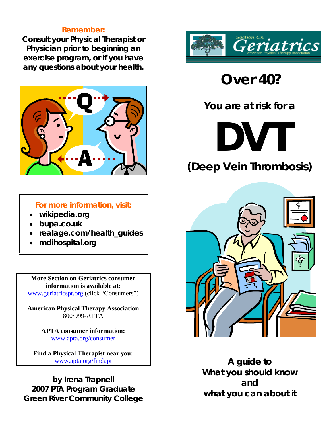#### **Remember:**

**Consult your Physical Therapist or Physician prior to beginning an exercise program, or if you have any questions about your health.** 



**For more information, visit:** 

- **wikipedia.org**
- **bupa.co.uk**
- **realage.com/health\_guides**
- **mdihospital.org**

**More Section on Geriatrics consumer information is available at:**  www.geriatricspt.org (click "Consumers")

**American Physical Therapy Association**  800/999-APTA

> **APTA consumer information:**  www.apta.org/consumer

**Find a Physical Therapist near you:**  www.apta.org/findapt

**by Irena Trapnell 2007 PTA Program Graduate Green River Community College** 



 **Over 40?** 

**You are at risk for a** 

**DVT** 

**(Deep Vein Thrombosis)** 



**A guide to What you should know and what you can about it**